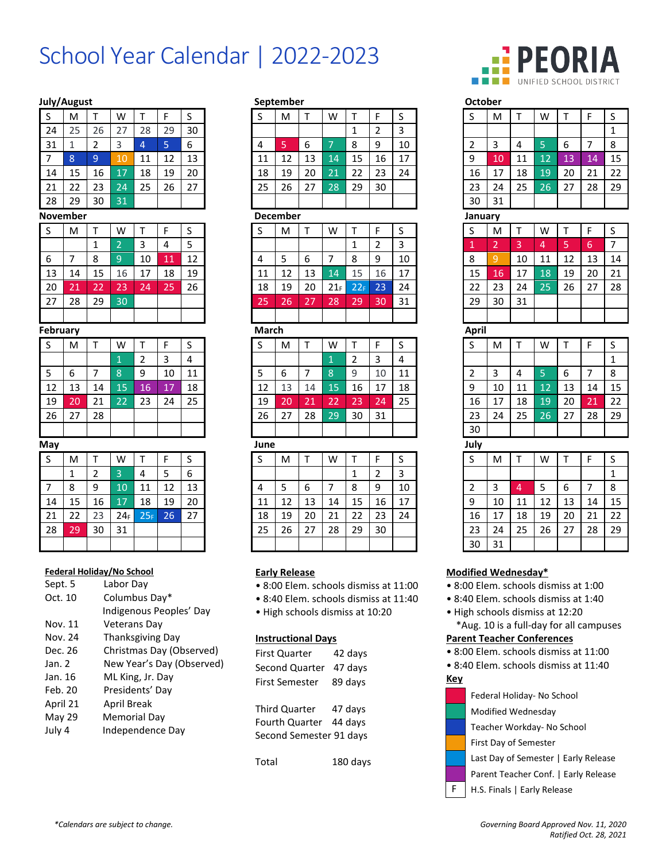# School Year Calendar | 2022-2023

## **July/August September**

| S               | M               | T               | W               | T               | F               | S  |  |  |
|-----------------|-----------------|-----------------|-----------------|-----------------|-----------------|----|--|--|
| 24              | 25              | 26              | 27              | 28              | 29              | 30 |  |  |
| 31              | 1               | $\overline{2}$  | 3               | 4               | 5               | 6  |  |  |
| 7               | 8               | 9               | 10              | 11              | 12              | 13 |  |  |
| 14              | 15              | 16              | 17              | 18              | 19              | 20 |  |  |
| 21              | 22              | 23              | $\overline{24}$ | 25              | 26              | 27 |  |  |
| 28              | 29              | 30              | $\overline{31}$ |                 |                 |    |  |  |
|                 | November        |                 |                 |                 |                 |    |  |  |
| S               | M               | Т               | W               | T               | F               | S  |  |  |
|                 |                 | 1               | $\overline{2}$  | 3               | 4               | 5  |  |  |
| 6               | $\overline{7}$  | 8               | 9               | 10              | 11              | 12 |  |  |
| 13              | 14              | 15              | 16              | 17              | 18              | 19 |  |  |
| 20              | 21              | $\overline{22}$ | 23              | 24              | $\overline{25}$ | 26 |  |  |
| 27              | 28              | 29              | 30              |                 |                 |    |  |  |
|                 |                 |                 |                 |                 |                 |    |  |  |
| <b>February</b> |                 |                 |                 |                 |                 |    |  |  |
| S               | M               | T               | W               | T               | F               | S  |  |  |
|                 |                 |                 | $\overline{1}$  | $\overline{2}$  | 3               | 4  |  |  |
| 5               | 6               | 7               | 8               | 9               | 10              | 11 |  |  |
| 12              | 13              | 14              | 15              | 16              | 17              | 18 |  |  |
| 19              | 20              | 21              | $\overline{22}$ | 23              | 24              | 25 |  |  |
| 26              | 27              | 28              |                 |                 |                 |    |  |  |
|                 |                 |                 |                 |                 |                 |    |  |  |
| May             |                 |                 |                 |                 |                 |    |  |  |
| S               | M               | T               | W               | Τ               | F               | S  |  |  |
|                 | 1               | 2               | 3               | 4               | 5               | 6  |  |  |
| 7               | 8               | 9               | 10              | 11              | 12              | 13 |  |  |
| 14              | 15              | 16              | $\overline{17}$ | 18              | 19              | 20 |  |  |
| $\overline{21}$ | 22              | 23              | 24 <sub>F</sub> | 25 <sub>F</sub> | $\frac{26}{5}$  | 27 |  |  |
| 28              | $\overline{29}$ | 30              | 31              |                 |                 |    |  |  |
|                 |                 |                 |                 |                 |                 |    |  |  |

#### **Federal Holiday/No School**

| Labor Dav                 |
|---------------------------|
| Columbus Day*             |
| Indigenous Peoples' Day   |
| <b>Veterans Dav</b>       |
| Thanksgiving Day          |
| Christmas Day (Observed)  |
| New Year's Day (Observed) |
| ML King, Jr. Day          |
| Presidents' Day           |
| April Break               |
| <b>Memorial Day</b>       |
| Independence Day          |
|                           |

| July/August        |                                  |                |                            |                 |                           |                         |              | september            |                                   |                 |                                         |                |                                                                                |  | october                                                                                                                                |                |                |                |    |    |                |
|--------------------|----------------------------------|----------------|----------------------------|-----------------|---------------------------|-------------------------|--------------|----------------------|-----------------------------------|-----------------|-----------------------------------------|----------------|--------------------------------------------------------------------------------|--|----------------------------------------------------------------------------------------------------------------------------------------|----------------|----------------|----------------|----|----|----------------|
| S                  | M                                | $\mathsf{T}$   | W                          | T               | F                         | S                       | S            | M                    | $\mathsf{T}$                      | W               | T                                       | F              | S                                                                              |  | S                                                                                                                                      | M              | T              | W              | T  | F  | S              |
| 24                 | 25                               | 26             | 27                         | 28              | 29                        | 30                      |              |                      |                                   |                 | $\mathbf{1}$                            | $\overline{2}$ | 3                                                                              |  |                                                                                                                                        |                |                |                |    |    | $\mathbf 1$    |
| 31                 | $\mathbf{1}$                     | $\overline{2}$ | 3                          | $\overline{4}$  | 5                         | 6                       | 4            | 5                    | 6                                 | 7               | 8                                       | 9              | 10                                                                             |  | 2                                                                                                                                      | 3              | 4              | 5              | 6  | 7  | 8              |
| $\overline{7}$     | $\bf 8$                          | $\overline{9}$ | 10                         | 11              | 12                        | 13                      | 11           | 12                   | 13                                | 14              | 15                                      | 16             | 17                                                                             |  | 9                                                                                                                                      | 10             | 11             | 12             | 13 | 14 | 15             |
| 14                 | 15                               | 16             | 17                         | 18              | 19                        | 20                      | 18           | 19                   | 20                                | 21              | 22                                      | 23             | 24                                                                             |  | 16                                                                                                                                     | 17             | 18             | 19             | 20 | 21 | 22             |
| 21                 | 22                               | 23             | 24                         | 25              | 26                        | 27                      | 25           | 26                   | 27                                | 28              | 29                                      | 30             |                                                                                |  | 23                                                                                                                                     | 24             | 25             | 26             | 27 | 28 | 29             |
| 28                 | 29                               | 30             | 31                         |                 |                           |                         |              |                      |                                   |                 |                                         |                |                                                                                |  | 30                                                                                                                                     | 31             |                |                |    |    |                |
|                    | November                         |                |                            |                 |                           |                         |              | <b>December</b>      |                                   |                 |                                         |                |                                                                                |  | January                                                                                                                                |                |                |                |    |    |                |
| S                  | M                                | Т              | W                          | Т               | F                         | S                       | S            | M                    | T                                 | W               | T                                       | F              | S                                                                              |  | S                                                                                                                                      | M              | T              | W              | т  | F  | $\sf S$        |
|                    |                                  | $\mathbf{1}$   | $\overline{2}$             | 3               | 4                         | 5                       |              |                      |                                   |                 | $\mathbf{1}$                            | $\overline{2}$ | 3                                                                              |  | 1                                                                                                                                      | $\overline{2}$ | $\overline{3}$ | $\overline{4}$ | 5  | 6  | $\overline{7}$ |
| 6                  | $\overline{7}$                   | 8              | $\overline{9}$             | 10              | 11                        | 12                      | 4            | 5                    | 6                                 | $\overline{7}$  | 8                                       | 9              | 10                                                                             |  | 8                                                                                                                                      | 9              | 10             | 11             | 12 | 13 | 14             |
| 13                 | 14                               | 15             | 16                         | 17              | 18                        | 19                      | 11           | 12                   | 13                                | 14              | 15                                      | 16             | 17                                                                             |  | 15                                                                                                                                     | 16             | 17             | 18             | 19 | 20 | 21             |
| 20                 | 21                               | 22             | 23                         | 24              | 25                        | 26                      | 18           | 19                   | 20                                | 21 <sub>F</sub> | 22F                                     | 23             | 24                                                                             |  | 22                                                                                                                                     | 23             | 24             | 25             | 26 | 27 | 28             |
| 27                 | 28                               | 29             | 30                         |                 |                           |                         | 25           | 26                   | 27                                | 28              | 29                                      | 30             | 31                                                                             |  | 29                                                                                                                                     | 30             | 31             |                |    |    |                |
|                    |                                  |                |                            |                 |                           |                         |              |                      |                                   |                 |                                         |                |                                                                                |  |                                                                                                                                        |                |                |                |    |    |                |
| _<br>February      |                                  |                |                            |                 |                           |                         | <b>March</b> |                      |                                   |                 |                                         |                |                                                                                |  | April                                                                                                                                  |                |                |                |    |    |                |
| S                  | M                                | T              | W                          | T               | F                         | S                       | S            | M                    | T                                 | W               | T                                       | F              | S                                                                              |  | S                                                                                                                                      | M              | T              | W              | T  | F  | $\sf S$        |
|                    |                                  |                | $\mathbf{1}$               | $\overline{2}$  | 3                         | $\overline{4}$          |              |                      |                                   | $\mathbf{1}$    | $\overline{2}$                          | 3              | 4                                                                              |  |                                                                                                                                        |                |                |                |    |    | $\mathbf{1}$   |
| 5                  | 6                                | $\overline{7}$ | 8                          | 9               | 10                        | 11                      | 5            | 6                    | $\overline{7}$                    | 8               | 9                                       | 10             | 11                                                                             |  | 2                                                                                                                                      | 3              | 4              | 5              | 6  | 7  | 8              |
| 12                 | 13                               | 14             | 15                         | 16              | 17                        | 18                      | 12           | 13                   | 14                                | 15              | 16                                      | 17             | 18                                                                             |  | 9                                                                                                                                      | 10             | 11             | 12             | 13 | 14 | 15             |
| 19                 | 20                               | 21             | 22                         | 23              | 24                        | 25                      | 19           | 20                   | 21                                | 22              | 23                                      | 24             | 25                                                                             |  | 16                                                                                                                                     | 17             | 18             | 19             | 20 | 21 | 22             |
| 26                 | 27                               | 28             |                            |                 |                           |                         | 26           | 27                   | 28                                | 29              | 30                                      | 31             |                                                                                |  | 23                                                                                                                                     | 24             | 25             | 26             | 27 | 28 | 29             |
|                    |                                  |                |                            |                 |                           |                         |              |                      |                                   |                 |                                         |                |                                                                                |  | 30                                                                                                                                     |                |                |                |    |    |                |
| May                |                                  |                |                            |                 |                           |                         | June         |                      |                                   |                 |                                         |                |                                                                                |  | July                                                                                                                                   |                |                |                |    |    |                |
| S                  | M                                | $\mathsf{T}$   | W                          | T               | F                         | S                       | S            | M                    | T                                 | W               | Τ                                       | F              | S                                                                              |  | S                                                                                                                                      | M              | т              | W              | т  | F  | S              |
|                    | $\mathbf{1}$                     | $\overline{2}$ | 3                          | 4               | 5                         | 6                       |              |                      |                                   |                 | $\mathbf{1}$                            | $\overline{2}$ | 3                                                                              |  |                                                                                                                                        |                |                |                |    |    | $\mathbf 1$    |
| $\overline{7}$     | 8                                | 9              | 10                         | 11              | 12                        | 13                      | 4            | 5                    | 6                                 | 7               | 8                                       | 9              | 10                                                                             |  | $\overline{2}$                                                                                                                         | 3              | 4              | 5              | 6  | 7  | $\bf 8$        |
| 14                 | 15                               | 16             | 17                         | 18              | 19                        | 20                      | 11           | 12                   | 13                                | 14              | 15                                      | 16             | 17                                                                             |  | 9                                                                                                                                      | 10             | 11             | 12             | 13 | 14 | 15             |
| 21                 | 22                               | 23             | 24 <sub>F</sub>            | 25 <sub>F</sub> | 26                        | 27                      | 18           | 19                   | 20                                | 21              | 22                                      | 23             | 24                                                                             |  | 16                                                                                                                                     | 17             | 18             | 19             | 20 | 21 | 22             |
| 28                 | 29                               | 30             | 31                         |                 |                           |                         | 25           | 26                   | 27                                | 28              | 29                                      | 30             |                                                                                |  | 23                                                                                                                                     | 24             | 25             | 26             | 27 | 28 | 29             |
|                    |                                  |                |                            |                 |                           |                         |              |                      |                                   |                 |                                         |                |                                                                                |  | 30                                                                                                                                     | 31             |                |                |    |    |                |
| Sept. 5<br>Oct. 10 | <b>Federal Holiday/No School</b> |                | Labor Day<br>Columbus Day* |                 |                           | Indigenous Peoples' Day |              | <b>Early Release</b> | · High schools dismiss at 10:20   |                 |                                         |                | · 8:00 Elem. schools dismiss at 11:00<br>· 8:40 Elem. schools dismiss at 11:40 |  | Modified Wednesday*<br>· 8:00 Elem. schools dismiss at 1:00<br>· 8:40 Elem. schools dismiss at 1:40<br>· High schools dismiss at 12:20 |                |                |                |    |    |                |
| Nov. 11            |                                  |                | <b>Veterans Day</b>        |                 |                           |                         |              |                      |                                   |                 | *Aug. 10 is a full-day for all campuses |                |                                                                                |  |                                                                                                                                        |                |                |                |    |    |                |
| Nov. 24            | Thanksgiving Day                 |                |                            |                 | <b>Instructional Days</b> |                         |              |                      | <b>Parent Teacher Conferences</b> |                 |                                         |                |                                                                                |  |                                                                                                                                        |                |                |                |    |    |                |

| First Quarter           | 42 days  |
|-------------------------|----------|
| Second Quarter          | 47 days  |
| First Semester          | 89 days  |
|                         |          |
| Third Quarter           | 47 days  |
| Fourth Quarter 44 days  |          |
| Second Semester 91 days |          |
|                         |          |
| Total                   | 180 davs |



| October        |                |                |                 |    |                |                |  |  |  |  |
|----------------|----------------|----------------|-----------------|----|----------------|----------------|--|--|--|--|
| S              | M              | Т              | W               | T  | F              | S              |  |  |  |  |
|                |                |                |                 |    |                | $\mathbf 1$    |  |  |  |  |
| $\overline{c}$ | 3              | 4              | 5               | 6  | 7              | 8              |  |  |  |  |
| 9              | 10             | 11             | 12              | 13 | 14             | 15             |  |  |  |  |
| 16             | 17             | 18             | 19              | 20 | 21             | 22             |  |  |  |  |
| 23             | 24             | 25             | $\overline{26}$ | 27 | 28             | 29             |  |  |  |  |
| 30             | 31             |                |                 |    |                |                |  |  |  |  |
| January        |                |                |                 |    |                |                |  |  |  |  |
| S              | M              | T              | W               | Т  | F              | S              |  |  |  |  |
| $\overline{1}$ | $\overline{2}$ | 3              | $\overline{4}$  | 5  | 6              | $\overline{7}$ |  |  |  |  |
| 8              | 9              | 10             | 11              | 12 | 13             | 14             |  |  |  |  |
| 15             | 16             | 17             | 18              | 19 | 20             | 21             |  |  |  |  |
| 22             | 23             | 24             | 25              | 26 | 27             | 28             |  |  |  |  |
| 29             | 30             | 31             |                 |    |                |                |  |  |  |  |
|                |                |                |                 |    |                |                |  |  |  |  |
| April          |                |                |                 |    |                |                |  |  |  |  |
| S              | M              | T              | W               | T  | F              | S              |  |  |  |  |
|                |                |                |                 |    |                | $\overline{1}$ |  |  |  |  |
| $\overline{c}$ | 3              | 4              | $\overline{5}$  | 6  | $\overline{7}$ | 8              |  |  |  |  |
| 9              | 10             | 11             | 12              | 13 | 14             | 15             |  |  |  |  |
| 16             | 17             | 18             | 19              | 20 | 21             | 22             |  |  |  |  |
| 23             | 24             | 25             | $\overline{26}$ | 27 | 28             | 29             |  |  |  |  |
| 30             |                |                |                 |    |                |                |  |  |  |  |
| July           |                |                |                 |    |                |                |  |  |  |  |
| S              | M              | T              | W               | T  | F              | S              |  |  |  |  |
|                |                |                |                 |    |                | $\mathbf 1$    |  |  |  |  |
| $\overline{c}$ | 3              | $\overline{4}$ | 5               | 6  | 7              | 8              |  |  |  |  |
| 9              | 10             | 11             | 12              | 13 | 14             | 15             |  |  |  |  |
| 16             | 17             | 18             | 19              | 20 | 21             | $\frac{22}{2}$ |  |  |  |  |
| วว             | 21             | つら             | ንፍ              | 27 | ንՋ             | วด             |  |  |  |  |

# **Modified Wednesday\***

- 8:00 Elem. schools dismiss at 1:00
- 8:40 Elem. schools dismiss at 1:40

#### **Parent Teacher Conferences**

- 8:00 Elem. schools dismiss at 11:00
- 8:40 Elem. schools dismiss at 11:40

**Key**

Federal Holiday- No School

- Modified Wednesday
- Teacher Workday- No School

First Day of Semester

- Last Day of Semester | Early Release
- Parent Teacher Conf. | Early Release
- F | H.S. Finals | Early Release